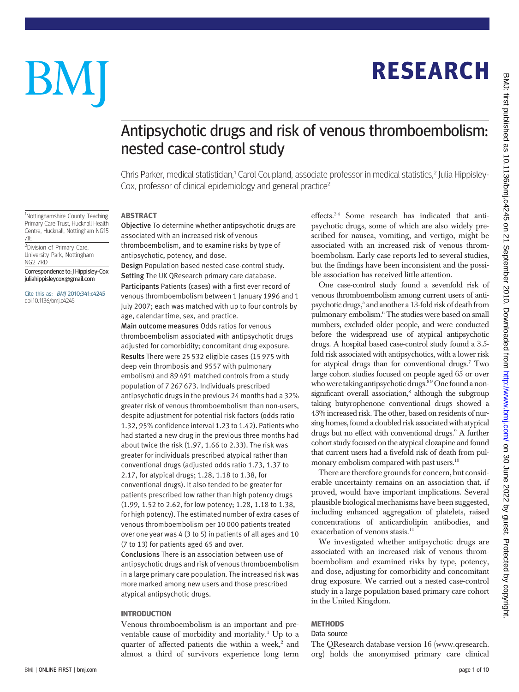## RESEARCH

# BM

### Antipsychotic drugs and risk of venous thromboembolism: nested case-control study

Chris Parker, medical statistician,<sup>1</sup> Carol Coupland, associate professor in medical statistics,<sup>2</sup> Julia Hippisley-Cox, professor of clinical epidemiology and general practice<sup>2</sup>

<sup>1</sup>Nottinghamshire County Teaching Primary Care Trust, Hucknall Health Centre, Hucknall, Nottingham NG15 7JE

**ABSTRACT** 

<sup>2</sup>Division of Primary Care, University Park, Nottingham NG2 7RD

Correspondence to: J Hippisley-Cox juliahippisleycox@gmail.com

Cite this as: BMJ 2010;341:c4245 doi:10.1136/bmj.c4245

Objective To determine whether antipsychotic drugs are associated with an increased risk of venous thromboembolism, and to examine risks by type of antipsychotic, potency, and dose.

Design Population based nested case-control study. Setting The UK QResearch primary care database. Participants Patients (cases) with a first ever record of venous thromboembolism between 1 January 1996 and 1 July 2007; each was matched with up to four controls by age, calendar time, sex, and practice. Main outcome measures Odds ratios for venous thromboembolism associated with antipsychotic drugs adjusted for comorbidity; concomitant drug exposure. Results There were 25 532 eligible cases (15 975 with deep vein thrombosis and 9557 with pulmonary embolism) and 89 491 matched controls from a study population of 7 267 673. Individuals prescribed antipsychotic drugs in the previous 24 months had a 32% greater risk of venous thromboembolism than non-users, despite adjustment for potential risk factors (odds ratio 1.32, 95% confidence interval 1.23 to 1.42). Patients who had started a new drug in the previous three months had about twice the risk (1.97, 1.66 to 2.33). The risk was greater for individuals prescribed atypical rather than conventional drugs (adjusted odds ratio 1.73, 1.37 to 2.17, for atypical drugs; 1.28, 1.18 to 1.38, for conventional drugs). It also tended to be greater for patients prescribed low rather than high potency drugs (1.99, 1.52 to 2.62, for low potency; 1.28, 1.18 to 1.38, for high potency). The estimated number of extra cases of venous thromboembolism per 10 000 patients treated over one year was 4 (3 to 5) in patients of all ages and 10 (7 to 13) for patients aged 65 and over.

Conclusions There is an association between use of antipsychotic drugs and risk of venous thromboembolism in a large primary care population. The increased risk was more marked among new users and those prescribed atypical antipsychotic drugs.

#### **INTRODUCTION**

Venous thromboembolism is an important and preventable cause of morbidity and mortality.<sup>1</sup> Up to a quarter of affected patients die within a week,<sup>2</sup> and almost a third of survivors experience long term effects.<sup>34</sup> Some research has indicated that antipsychotic drugs, some of which are also widely prescribed for nausea, vomiting, and vertigo, might be associated with an increased risk of venous thromboembolism. Early case reports led to several studies, but the findings have been inconsistent and the possible association has received little attention.

One case-control study found a sevenfold risk of venous thromboembolism among current users of antipsychotic drugs,<sup>5</sup> and another a 13-fold risk of death from pulmonary embolism.6 The studies were based on small numbers, excluded older people, and were conducted before the widespread use of atypical antipsychotic drugs. A hospital based case-control study found a 3.5 fold risk associated with antipsychotics, with a lower risk for atypical drugs than for conventional drugs.7 Two large cohort studies focused on people aged 65 or over who were taking antipsychotic drugs.<sup>89</sup> One found a nonsignificant overall association,<sup>8</sup> although the subgroup taking butyrophenone conventional drugs showed a 43% increased risk. The other, based on residents of nursing homes, found a doubled risk associated with atypical drugs but no effect with conventional drugs.<sup>9</sup> A further cohort study focused on the atypical clozapine and found that current users had a fivefold risk of death from pulmonary embolism compared with past users.<sup>10</sup>

There are therefore grounds for concern, but considerable uncertainty remains on an association that, if proved, would have important implications. Several plausible biological mechanisms have been suggested, including enhanced aggregation of platelets, raised concentrations of anticardiolipin antibodies, and exacerbation of venous stasis.  $^{\rm 11}$ 

We investigated whether antipsychotic drugs are associated with an increased risk of venous thromboembolism and examined risks by type, potency, and dose, adjusting for comorbidity and concomitant drug exposure. We carried out a nested case-control study in a large population based primary care cohort in the United Kingdom.

#### **METHODS**

#### Data source

The QResearch database version 16 (www.qresearch. org) holds the anonymised primary care clinical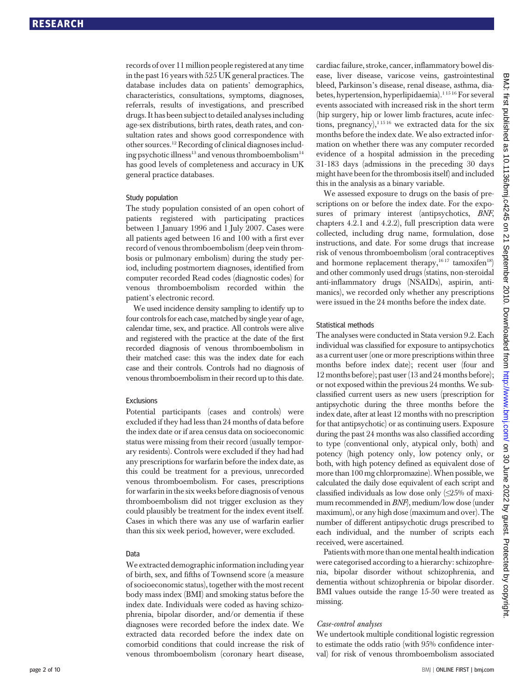records of over 11 million people registered at any time in the past 16 years with 525 UK general practices. The database includes data on patients' demographics, characteristics, consultations, symptoms, diagnoses, referrals, results of investigations, and prescribed drugs. It has been subject to detailed analyses including age-sex distributions, birth rates, death rates, and consultation rates and shows good correspondence with other sources.12 Recording of clinical diagnoses including psychotic illness<sup>13</sup> and venous thromboembolism<sup>14</sup> has good levels of completeness and accuracy in UK general practice databases.

#### Study population

The study population consisted of an open cohort of patients registered with participating practices between 1 January 1996 and 1 July 2007. Cases were all patients aged between 16 and 100 with a first ever record of venous thromboembolism (deep vein thrombosis or pulmonary embolism) during the study period, including postmortem diagnoses, identified from computer recorded Read codes (diagnostic codes) for venous thromboembolism recorded within the patient's electronic record.

We used incidence density sampling to identify up to four controls for each case, matched by single year of age, calendar time, sex, and practice. All controls were alive and registered with the practice at the date of the first recorded diagnosis of venous thromboembolism in their matched case: this was the index date for each case and their controls. Controls had no diagnosis of venous thromboembolism in their record up to this date.

#### Exclusions

Potential participants (cases and controls) were excluded if they had less than 24 months of data before the index date or if area census data on socioeconomic status were missing from their record (usually temporary residents). Controls were excluded if they had had any prescriptions for warfarin before the index date, as this could be treatment for a previous, unrecorded venous thromboembolism. For cases, prescriptions for warfarin in the six weeks before diagnosis of venous thromboembolism did not trigger exclusion as they could plausibly be treatment for the index event itself. Cases in which there was any use of warfarin earlier than this six week period, however, were excluded.

#### Data

We extracted demographic information including year of birth, sex, and fifths of Townsend score (a measure of socioeconomic status), together with the most recent body mass index (BMI) and smoking status before the index date. Individuals were coded as having schizophrenia, bipolar disorder, and/or dementia if these diagnoses were recorded before the index date. We extracted data recorded before the index date on comorbid conditions that could increase the risk of venous thromboembolism (coronary heart disease,

cardiac failure, stroke, cancer, inflammatory bowel disease, liver disease, varicose veins, gastrointestinal bleed, Parkinson's disease, renal disease, asthma, diabetes, hypertension, hyperlipidaemia).<sup>11516</sup> For several events associated with increased risk in the short term (hip surgery, hip or lower limb fractures, acute infections, pregnancy),<sup>11516</sup> we extracted data for the six months before the index date. We also extracted information on whether there was any computer recorded evidence of a hospital admission in the preceding 31-183 days (admissions in the preceding 30 days might have been for the thrombosis itself) and included this in the analysis as a binary variable.

We assessed exposure to drugs on the basis of prescriptions on or before the index date. For the exposures of primary interest (antipsychotics, BNF, chapters 4.2.1 and 4.2.2), full prescription data were collected, including drug name, formulation, dose instructions, and date. For some drugs that increase risk of venous thromboembolism (oral contraceptives and hormone replacement therapy,<sup>1617</sup> tamoxifen<sup>18</sup>) and other commonly used drugs (statins, non-steroidal anti-inflammatory drugs (NSAIDs), aspirin, antimanics), we recorded only whether any prescriptions were issued in the 24 months before the index date.

#### Statistical methods

The analyses were conducted in Stata version 9.2. Each individual was classified for exposure to antipsychotics as a current user (one or more prescriptions within three months before index date); recent user (four and 12 months before); past user (13 and 24 months before); or not exposed within the previous 24 months. We subclassified current users as new users (prescription for antipsychotic during the three months before the index date, after at least 12 months with no prescription for that antipsychotic) or as continuing users. Exposure during the past 24 months was also classified according to type (conventional only, atypical only, both) and potency (high potency only, low potency only, or both, with high potency defined as equivalent dose of more than 100 mg chlorpromazine).When possible, we calculated the daily dose equivalent of each script and classified individuals as low dose only  $(\leq 25\%$  of maximum recommended in BNF), medium/low dose (under maximum), or any high dose (maximum and over). The number of different antipsychotic drugs prescribed to each individual, and the number of scripts each received, were ascertained.

Patients with more than one mental health indication were categorised according to a hierarchy: schizophrenia, bipolar disorder without schizophrenia, and dementia without schizophrenia or bipolar disorder. BMI values outside the range 15-50 were treated as missing.

#### Case-control analyses

We undertook multiple conditional logistic regression to estimate the odds ratio (with 95% confidence interval) for risk of venous thromboembolism associated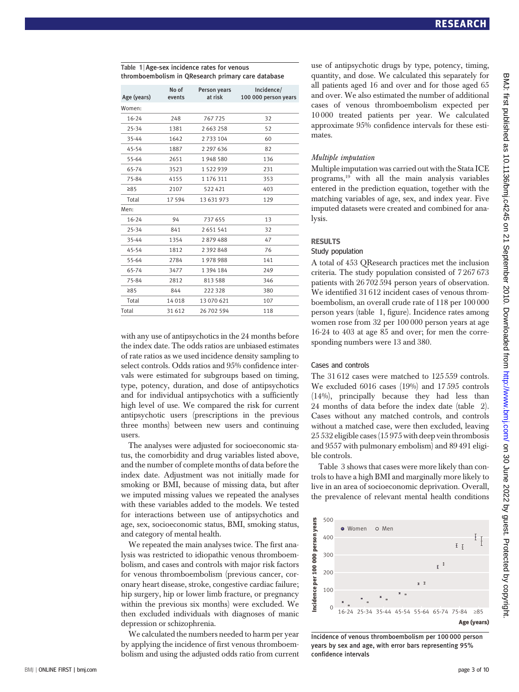| ombochibodishi in Quescaren primary care aatabase |                 |                         |                                    |  |  |
|---------------------------------------------------|-----------------|-------------------------|------------------------------------|--|--|
| Age (years)                                       | No of<br>events | Person years<br>at risk | Incidence/<br>100 000 person years |  |  |
| Women:                                            |                 |                         |                                    |  |  |
| 16-24                                             | 248             | 767725                  | 32                                 |  |  |
| 25-34                                             | 1381            | 2 663 258               | 52                                 |  |  |
| 35-44                                             | 1642            | 2 733 104               | 60                                 |  |  |
| 45-54                                             | 1887            | 2 297 636               | 82                                 |  |  |
| 55-64                                             | 2651            | 1948580                 | 136                                |  |  |
| 65-74                                             | 3523            | 1 522 939               | 231                                |  |  |
| 75-84                                             | 4155            | 1 176 311               | 353                                |  |  |
| $\geq 85$                                         | 2107            | 522421                  | 403                                |  |  |
| Total                                             | 17594           | 13 631 973              | 129                                |  |  |
| Men:                                              |                 |                         |                                    |  |  |
| 16-24                                             | 94              | 737 655                 | 13                                 |  |  |
| 25-34                                             | 841             | 2 651 541               | 32                                 |  |  |
| 35-44                                             | 1354            | 2879488                 | 47                                 |  |  |
| 45-54                                             | 1812            | 2 392 848               | 76                                 |  |  |
| 55-64                                             | 2784            | 1978988                 | 141                                |  |  |
| 65-74                                             | 3477            | 1 394 184               | 249                                |  |  |
| 75-84                                             | 2812            | 813 588                 | 346                                |  |  |
| 285                                               | 844             | 222 328                 | 380                                |  |  |
| Total                                             | 14018           | 13 070 621              | 107                                |  |  |
| Total                                             | 31 612          | 26 702 594              | 118                                |  |  |

Table 1 | Age-sex incidence rates for venous thromboembolism in QResearch primary care database

with any use of antipsychotics in the 24 months before the index date. The odds ratios are unbiased estimates of rate ratios as we used incidence density sampling to select controls. Odds ratios and 95% confidence intervals were estimated for subgroups based on timing, type, potency, duration, and dose of antipsychotics and for individual antipsychotics with a sufficiently high level of use. We compared the risk for current antipsychotic users (prescriptions in the previous three months) between new users and continuing users.

The analyses were adjusted for socioeconomic status, the comorbidity and drug variables listed above, and the number of complete months of data before the index date. Adjustment was not initially made for smoking or BMI, because of missing data, but after we imputed missing values we repeated the analyses with these variables added to the models. We tested for interactions between use of antipsychotics and age, sex, socioeconomic status, BMI, smoking status, and category of mental health.

We repeated the main analyses twice. The first analysis was restricted to idiopathic venous thromboembolism, and cases and controls with major risk factors for venous thromboembolism (previous cancer, coronary heart disease, stroke, congestive cardiac failure; hip surgery, hip or lower limb fracture, or pregnancy within the previous six months) were excluded. We then excluded individuals with diagnoses of manic depression or schizophrenia.

We calculated the numbers needed to harm per year by applying the incidence of first venous thromboembolism and using the adjusted odds ratio from current use of antipsychotic drugs by type, potency, timing, quantity, and dose. We calculated this separately for all patients aged 16 and over and for those aged 65 and over. We also estimated the number of additional cases of venous thromboembolism expected per 10 000 treated patients per year. We calculated approximate 95% confidence intervals for these estimates.

#### Multiple imputation

Multiple imputation was carried out with the Stata ICE programs,19 with all the main analysis variables entered in the prediction equation, together with the matching variables of age, sex, and index year. Five imputed datasets were created and combined for analysis.

#### RESULTS

#### Study population

A total of 453 QResearch practices met the inclusion criteria. The study population consisted of 7 267 673 patients with 26 702 594 person years of observation. We identified 31 612 incident cases of venous thromboembolism, an overall crude rate of 118 per 100 000 person years (table 1, figure). Incidence rates among women rose from 32 per 100 000 person years at age 16-24 to 403 at age 85 and over; for men the corresponding numbers were 13 and 380.

#### Cases and controls

The 31 612 cases were matched to 125 559 controls. We excluded 6016 cases (19%) and 17 595 controls (14%), principally because they had less than 24 months of data before the index date (table 2). Cases without any matched controls, and controls without a matched case, were then excluded, leaving 25 532 eligible cases (15 975 with deep vein thrombosis and 9557 with pulmonary embolism) and 89 491 eligible controls.

Table 3 shows that cases were more likely than controls to have a high BMI and marginally more likely to live in an area of socioeconomic deprivation. Overall, the prevalence of relevant mental health conditions



Incidence of venous thromboembolism per 100 000 person years by sex and age, with error bars representing 95% confidence intervals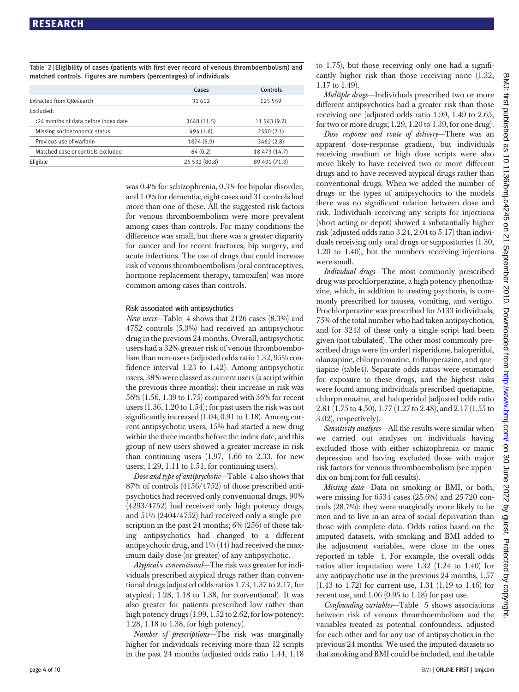Table 2 <sup>|</sup> Eligibility of cases (patients with first ever record of venous thromboembolism) and matched controls. Figures are numbers (percentages) of individuals

|                                      | Cases         | Controls      |
|--------------------------------------|---------------|---------------|
| <b>Extracted from QResearch</b>      | 31 612        | 125 559       |
| Excluded:                            |               |               |
| <24 months of data before index date | 3648 (11.5)   | 11 543 (9.2)  |
| Missing socioeconomic status         | 494(1.6)      | 2590(2.1)     |
| Previous use of warfarin             | 1874 (5.9)    | 3462 (2.8)    |
| Matched case or controls excluded    | 64(0.2)       | 18 473 (14.7) |
| Eligible                             | 25 532 (80.8) | 89 491 (71.3) |

was 0.4% for schizophrenia, 0.3% for bipolar disorder, and 1.0% for dementia; eight cases and 31 controls had more than one of these. All the suggested risk factors for venous thromboembolism were more prevalent among cases than controls. For many conditions the difference was small, but there was a greater disparity for cancer and for recent fractures, hip surgery, and acute infections. The use of drugs that could increase risk of venous thromboembolism (oral contraceptives, hormone replacement therapy, tamoxifen) was more common among cases than controls.

#### Risk associated with antipsychotics

New users—Table 4 shows that 2126 cases (8.3%) and 4752 controls (5.3%) had received an antipsychotic drug in the previous 24 months. Overall, antipsychotic users had a 32% greater risk of venous thromboembolism than non-users (adjusted odds ratio 1.32, 95% confidence interval 1.23 to 1.42). Among antipsychotic users, 38% were classed as current users (a script within the previous three months): their increase in risk was 56% (1.56, 1.39 to 1.75) compared with 36% for recent users (1.36, 1.20 to 1.54); for past users the risk was not significantly increased (1.04, 0.91 to 1.18). Among current antipsychotic users, 15% had started a new drug within the three months before the index date, and this group of new users showed a greater increase in risk than continuing users  $(1.97, 1.66$  to  $2.33$ , for new users; 1.29, 1.11 to 1.51, for continuing users).

Dose and type of antipsychotic—Table 4 also shows that 87% of controls (4156/4752) of those prescribed antipsychotics had received only conventional drugs, 90% (4293/4752) had received only high potency drugs, and 51% (2404/4752) had received only a single prescription in the past 24 months; 6% (256) of those taking antipsychotics had changed to a different antipsychotic drug, and 1% (44) had received the maximum daily dose (or greater) of any antipsychotic.

Atypical v conventional—The risk was greater for individuals prescribed atypical drugs rather than conventional drugs (adjusted odds ratios 1.73, 1.37 to 2.17, for atypical; 1.28, 1.18 to 1.38, for conventional). It was also greater for patients prescribed low rather than high potency drugs (1.99, 1.52 to 2.62, for low potency; 1.28, 1.18 to 1.38, for high potency).

Number of prescriptions—The risk was marginally higher for individuals receiving more than 12 scripts in the past 24 months (adjusted odds ratio 1.44, 1.18 to 1.75), but those receiving only one had a significantly higher risk than those receiving none (1.32, 1.17 to 1.49).

Multiple drugs—Individuals prescribed two or more different antipsychotics had a greater risk than those receiving one (adjusted odds ratio 1.99, 1.49 to 2.65, for two or more drugs; 1.29, 1.20 to 1.39, for one drug).

Dose response and route of delivery-There was an apparent dose-response gradient, but individuals receiving medium or high dose scripts were also more likely to have received two or more different drugs and to have received atypical drugs rather than conventional drugs. When we added the number of drugs or the types of antipsychotics to the models there was no significant relation between dose and risk. Individuals receiving any scripts for injections (short acting or depot) showed a substantially higher risk (adjusted odds ratio 3.24, 2.04 to 5.17) than individuals receiving only oral drugs or suppositories (1.30, 1.20 to 1.40), but the numbers receiving injections were small.

Individual drugs—The most commonly prescribed drug was prochlorperazine, a high potency phenothiazine, which, in addition to treating psychosis, is commonly prescribed for nausea, vomiting, and vertigo. Prochlorperazine was prescribed for 5133 individuals, 75% of the total number who had taken antipsychotics, and for 3243 of these only a single script had been given (not tabulated). The other most commonly prescribed drugs were (in order) risperidone, haloperidol, olanzapine, chlorpromazine, trifluoperazine, and quetiapine (table4). Separate odds ratios were estimated for exposure to these drugs, and the highest risks were found among individuals prescribed quetiapine, chlorpromazine, and haloperidol (adjusted odds ratio 2.81 (1.75 to 4.50), 1.77 (1.27 to 2.48), and 2.17 (1.55 to 3.02), respectively).

Sensitivity analyses—All the results were similar when we carried out analyses on individuals having excluded those with either schizophrenia or manic depression and having excluded those with major risk factors for venous thromboembolism (see appendix on bmj.com for full results).

Missing data—Data on smoking or BMI, or both, were missing for 6534 cases (25.6%) and 25 720 controls (28.7%): they were marginally more likely to be men and to live in an area of social deprivation than those with complete data. Odds ratios based on the imputed datasets, with smoking and BMI added to the adjustment variables, were close to the ones reported in table 4. For example, the overall odds ratios after imputation were 1.32 (1.24 to 1.40) for any antipsychotic use in the previous 24 months, 1.57 (1.43 to 1.72) for current use, 1.31 (1.19 to 1.46) for recent use, and 1.06 (0.95 to 1.18) for past use.

Confounding variables—Table 5 shows associations between risk of venous thromboembolism and the variables treated as potential confounders, adjusted for each other and for any use of antipsychotics in the previous 24 months. We used the imputed datasets so that smoking and BMI could be included, and the table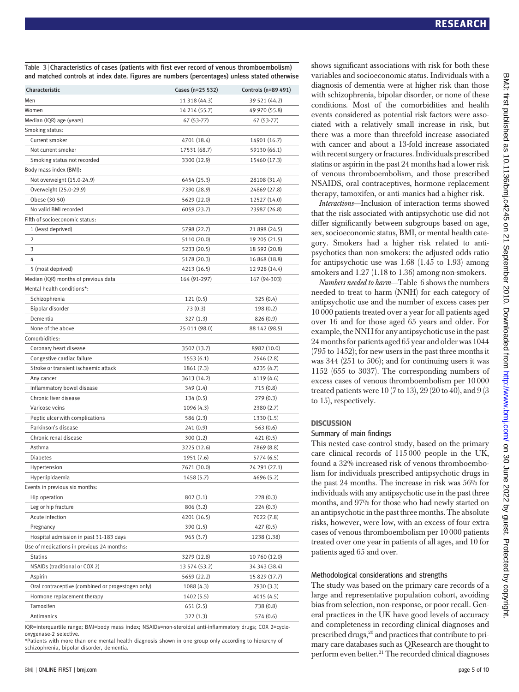Table 3 | Characteristics of cases (patients with first ever record of venous thromboembolism) and matched controls at index date. Figures are numbers (percentages) unless stated otherwise

| Characteristic                                    | Cases (n=25 532) | Controls (n=89 491) |
|---------------------------------------------------|------------------|---------------------|
| Men                                               | 11 318 (44.3)    | 39 521 (44.2)       |
| Women                                             | 14 214 (55.7)    | 49 970 (55.8)       |
| Median (IQR) age (years)                          | 67 (53-77)       | 67 (53-77)          |
| Smoking status:                                   |                  |                     |
| Current smoker                                    | 4701 (18.4)      | 14901 (16.7)        |
| Not current smoker                                | 17531 (68.7)     | 59130 (66.1)        |
| Smoking status not recorded                       | 3300 (12.9)      | 15460 (17.3)        |
| Body mass index (BMI):                            |                  |                     |
| Not overweight (15.0-24.9)                        | 6454 (25.3)      | 28108 (31.4)        |
| Overweight (25.0-29.9)                            | 7390 (28.9)      | 24869 (27.8)        |
| Obese (30-50)                                     | 5629 (22.0)      | 12527 (14.0)        |
| No valid BMI recorded                             | 6059 (23.7)      | 23987 (26.8)        |
| Fifth of socioeconomic status:                    |                  |                     |
| 1 (least deprived)                                | 5798 (22.7)      | 21 898 (24.5)       |
| 2                                                 | 5110 (20.0)      | 19 205 (21.5)       |
| 3                                                 | 5233 (20.5)      | 18 592 (20.8)       |
| 4                                                 | 5178 (20.3)      | 16 868 (18.8)       |
| 5 (most deprived)                                 | 4213 (16.5)      | 12 928 (14.4)       |
| Median (IQR) months of previous data              | 164 (91-297)     | 167 (94-303)        |
| Mental health conditions*:                        |                  |                     |
| Schizophrenia                                     | 121(0.5)         | 325 (0.4)           |
| Bipolar disorder                                  | 73(0.3)          | 198 (0.2)           |
| Dementia                                          | 327 (1.3)        | 826 (0.9)           |
| None of the above                                 | 25 011 (98.0)    | 88 142 (98.5)       |
| Comorbidities:                                    |                  |                     |
| Coronary heart disease                            | 3502 (13.7)      | 8982 (10.0)         |
| Congestive cardiac failure                        | 1553(6.1)        | 2546 (2.8)          |
| Stroke or transient ischaemic attack              | 1861(7.3)        | 4235 (4.7)          |
| Any cancer                                        | 3613 (14.2)      | 4119 (4.6)          |
| Inflammatory bowel disease                        | 349 (1.4)        | 715 (0.8)           |
| Chronic liver disease                             | 134(0.5)         | 279(0.3)            |
| Varicose veins                                    | 1096 (4.3)       | 2380 (2.7)          |
| Peptic ulcer with complications                   | 586 (2.3)        | 1330 (1.5)          |
| Parkinson's disease                               | 241(0.9)         | 563(0.6)            |
| Chronic renal disease                             | 300(1.2)         | 421 (0.5)           |
| Asthma                                            | 3225 (12.6)      | 7869 (8.8)          |
| <b>Diabetes</b>                                   | 1951 (7.6)       | 5774 (6.5)          |
| Hypertension                                      | 7671 (30.0)      | 24 291 (27.1)       |
| Hyperlipidaemia                                   | 1458 (5.7)       | 4696 (5.2)          |
| Events in previous six months:                    |                  |                     |
| Hip operation                                     | 802 (3.1)        | 228(0.3)            |
| Leg or hip fracture                               | 806 (3.2)        | 224(0.3)            |
| Acute infection                                   | 4201 (16.5)      | 7022 (7.8)          |
| Pregnancy                                         | 390 (1.5)        | 427 (0.5)           |
| Hospital admission in past 31-183 days            | 965 (3.7)        | 1238 (1.38)         |
| Use of medications in previous 24 months:         |                  |                     |
| <b>Statins</b>                                    | 3279 (12.8)      | 10 760 (12.0)       |
| NSAIDs (traditional or COX 2)                     | 13 574 (53.2)    | 34 343 (38.4)       |
| Aspirin                                           | 5659 (22.2)      | 15 829 (17.7)       |
| Oral contraceptive (combined or progestogen only) | 1088 (4.3)       | 2930 (3.3)          |
| Hormone replacement therapy                       | 1402 (5.5)       | 4015 (4.5)          |
| Tamoxifen                                         | 651(2.5)         | 738 (0.8)           |
| Antimanics                                        | 322 (1.3)        | 574 (0.6)           |

IQR=interquartile range; BMI=body mass index; NSAIDs=non-steroidal anti-inflammatory drugs; COX 2=cyclooxygenase-2 selective.

\*Patients with more than one mental health diagnosis shown in one group only according to hierarchy of schizophrenia, bipolar disorder, dementia.

shows significant associations with risk for both these variables and socioeconomic status. Individuals with a diagnosis of dementia were at higher risk than those with schizophrenia, bipolar disorder, or none of these conditions. Most of the comorbidities and health events considered as potential risk factors were associated with a relatively small increase in risk, but there was a more than threefold increase associated with cancer and about a 13-fold increase associated with recent surgery or fractures. Individuals prescribed statins or aspirin in the past 24 months had a lower risk of venous thromboembolism, and those prescribed NSAIDS, oral contraceptives, hormone replacement therapy, tamoxifen, or anti-manics had a higher risk.

Interactions—Inclusion of interaction terms showed that the risk associated with antipsychotic use did not differ significantly between subgroups based on age, sex, socioeconomic status, BMI, or mental health category. Smokers had a higher risk related to antipsychotics than non-smokers: the adjusted odds ratio for antipsychotic use was 1.68 (1.45 to 1.93) among smokers and  $1.27$  (1.18 to 1.36) among non-smokers.

Numbers needed to harm—Table 6 shows the numbers needed to treat to harm (NNH) for each category of antipsychotic use and the number of excess cases per 10 000 patients treated over a year for all patients aged over 16 and for those aged 65 years and older. For example, the NNH for any antipsychotic use in the past 24 months for patients aged 65 year and older was 1044 (795 to 1452); for new users in the past three months it was 344 (251 to 506); and for continuing users it was 1152 (655 to 3037). The corresponding numbers of excess cases of venous thromboembolism per 10 000 treated patients were  $10$  (7 to 13),  $29$  (20 to 40), and  $9$  (3) to 15), respectively.

#### **DISCUSSION**

#### Summary of main findings

This nested case-control study, based on the primary care clinical records of 115 000 people in the UK, found a 32% increased risk of venous thromboembolism for individuals prescribed antipsychotic drugs in the past 24 months. The increase in risk was 56% for individuals with any antipsychotic use in the past three months, and 97% for those who had newly started on an antipsychotic in the past three months. The absolute risks, however, were low, with an excess of four extra cases of venous thromboembolism per 10 000 patients treated over one year in patients of all ages, and 10 for patients aged 65 and over.

#### Methodological considerations and strengths

The study was based on the primary care records of a large and representative population cohort, avoiding bias from selection, non-response, or poor recall. General practices in the UK have good levels of accuracy and completeness in recording clinical diagnoses and prescribed drugs,<sup>20</sup> and practices that contribute to primary care databases such as QResearch are thought to perform even better.21 The recorded clinical diagnoses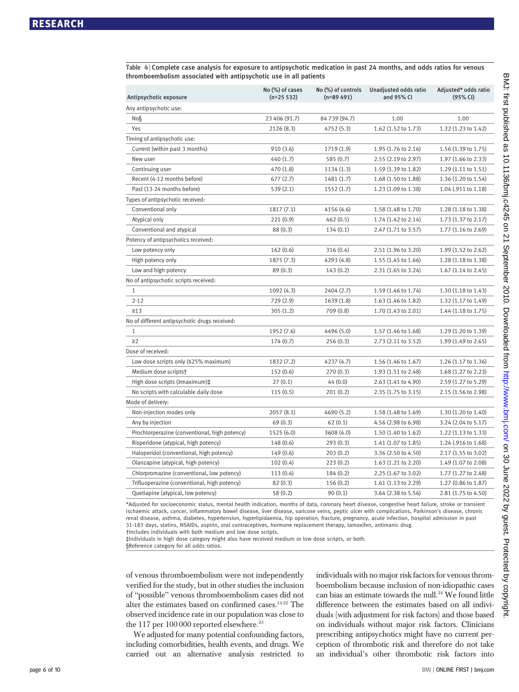Table 4 <sup>|</sup> Complete case analysis for exposure to antipsychotic medication in past 24 months, and odds ratios for venous thromboembolism associated with antipsychotic use in all patients

| Antipsychotic exposure                        | No (%) of cases<br>$(n=25 532)$ | No (%) of controls<br>$(n=89 491)$ | Unadjusted odds ratio<br>and 95% CI | Adjusted* odds ratio<br>(95% CI) |
|-----------------------------------------------|---------------------------------|------------------------------------|-------------------------------------|----------------------------------|
| Any antipsychotic use:                        |                                 |                                    |                                     |                                  |
| No§                                           | 23 406 (91.7)                   | 84 739 (94.7)                      | 1.00                                | 1.00                             |
| Yes                                           | 2126 (8.3)                      | 4752 (5.3)                         | 1.62 (1.52 to 1.73)                 | 1.32 (1.23 to 1.42)              |
| Timing of antipsychotic use:                  |                                 |                                    |                                     |                                  |
| Current (within past 3 months)                | 910 (3.6)                       | 1719 (1.9)                         | 1.95 (1.76 to 2.16)                 | 1.56 (1.39 to 1.75)              |
| New user                                      | 440 (1.7)                       | 585 (0.7)                          | 2.55 (2.19 to 2.97)                 | 1.97 (1.66 to 2.33)              |
| Continuing user                               | 470 (1.8)                       | 1134(1.3)                          | 1.59 (1.39 to 1.82)                 | 1.29 (1.11 to 1.51)              |
| Recent (4-12 months before)                   | 677(2.7)                        | 1481 (1.7)                         | 1.68 (1.50 to 1.88)                 | 1.36 (1.20 to 1.54)              |
| Past (13-24 months before)                    | 539(2.1)                        | 1552 (1.7)                         | 1.23 (1.09 to 1.38)                 | 1.04 (.911 to 1.18)              |
| Types of antipsychotic received:              |                                 |                                    |                                     |                                  |
| Conventional only                             | 1817(7.1)                       | 4156 (4.6)                         | 1.58 (1.48 to 1.70)                 | 1.28 (1.18 to 1.38)              |
| Atypical only                                 | 221(0.9)                        | 462(0.5)                           | 1.74 (1.42 to 2.14)                 | 1.73 (1.37 to 2.17)              |
| Conventional and atypical                     | 88(0.3)                         | 134(0.1)                           | 2.47 (1.71 to 3.57)                 | 1.77 (1.16 to 2.69)              |
| Potency of antipsychotics received:           |                                 |                                    |                                     |                                  |
| Low potency only                              | 162(0.6)                        | 316(0.4)                           | $2.51(1.96 \text{ to } 3.20)$       | 1.99 (1.52 to 2.62)              |
| High potency only                             | 1875 (7.3)                      | 4293 (4.8)                         | 1.55 (1.45 to 1.66)                 | 1.28 (1.18 to 1.38)              |
| Low and high potency                          | 89(0.3)                         | 143(0.2)                           | 2.31 (1.65 to 3.24)                 | 1.67 (1.14 to 2.45)              |
| No of antipsychotic scripts received:         |                                 |                                    |                                     |                                  |
| $\mathbf{1}$                                  | 1092 (4.3)                      | 2404 (2.7)                         | 1.59 (1.46 to 1.74)                 | 1.30 (1.18 to 1.43)              |
| $2 - 12$                                      | 729 (2.9)                       | 1639(1.8)                          | $1.63(1.46 \text{ to } 1.82)$       | 1.32 (1.17 to 1.49)              |
| $\geq$ 13                                     | 305(1.2)                        | 709 (0.8)                          | 1.70 (1.43 to 2.01)                 | 1.44 (1.18 to 1.75)              |
| No of different antipsychotic drugs received: |                                 |                                    |                                     |                                  |
| 1                                             | 1952 (7.6)                      | 4496 (5.0)                         | 1.57 (1.46 to 1.68)                 | 1.29 (1.20 to 1.39)              |
| $\geq$ 2                                      | 174(0.7)                        | 256(0.3)                           | $2.73(2.11 \text{ to } 3.52)$       | 1.99 (1.49 to 2.65)              |
| Dose of received:                             |                                 |                                    |                                     |                                  |
| Low dose scripts only (≤25% maximum)          | 1832 (7.2)                      | 4237 (4.7)                         | 1.56 (1.46 to 1.67)                 | 1.26 (1.17 to 1.36)              |
| Medium dose scripts†                          | 152(0.6)                        | 270(0.3)                           | 1.93 (1.51 to 2.48)                 | 1.68 (1.27 to 2.23)              |
| High dose scripts (≥maximum)‡                 | 27(0.1)                         | 44(0.0)                            | 2.63 (1.41 to 4.90)                 | 2.59 (1.27 to 5.29)              |
| No scripts with calculable daily dose         | 115(0.5)                        | 201(0.2)                           | 2.35 (1.75 to 3.15)                 | 2.15 (1.56 to 2.98)              |
| Mode of delivery:                             |                                 |                                    |                                     |                                  |
| Non-injection modes only                      | 2057(8.1)                       | 4690 (5.2)                         | 1.58 (1.48 to 1.69)                 | 1.30 (1.20 to 1.40)              |
| Any by injection                              | 69(0.3)                         | 62(0.1)                            | 4.56 (2.98 to 6.98)                 | 3.24 (2.04 to 5.17)              |
| Prochlorperazine (conventional, high potency) | 1525 (6.0)                      | 3608 (4.0)                         | 1.50 (1.40 to 1.62)                 | 1.22 (1.13 to 1.33)              |
| Risperidone (atypical, high potency)          | 148 (0.6)                       | 293(0.3)                           | 1.41 (1.07 to 1.85)                 | 1.24 (.916 to 1.68)              |
| Haloperidol (conventional, high potency)      | 149(0.6)                        | 203(0.2)                           | 3.36 (2.50 to 4.50)                 | $2.17(1.55 \text{ to } 3.02)$    |
| Olanzapine (atypical, high potency)           | 102(0.4)                        | 223(0.2)                           | 1.63(1.21 to 2.20)                  | 1.49 (1.07 to 2.08)              |
| Chlorpromazine (conventional, low potency)    | 113(0.4)                        | 184(0.2)                           | 2.25 (1.67 to 3.02)                 | 1.77 (1.27 to 2.48)              |
| Trifluoperazine (conventional, high potency)  | 82(0.3)                         | 156(0.2)                           | 1.61 (1.13 to 2.29)                 | 1.27 (0.86 to 1.87)              |
| Quetiapine (atypical, low potency)            | 58(0.2)                         | 90(0.1)                            | 3.64 (2.38 to 5.56)                 | 2.81 (1.75 to 4.50)              |

\*Adjusted for socioeconomic status, mental health indication, months of data, coronary heart disease, congestive heart failure, stroke or transient ischaemic attack, cancer, inflammatory bowel disease, liver disease, varicose veins, peptic ulcer with complications, Parkinson's disease, chronic renal disease, asthma, diabetes, hypertension, hyperlipidaemia, hip operation, fracture, pregnancy, acute infection, hospital admission in past 31-183 days, statins, NSAIDs, aspirin, oral contraceptives, hormone replacement therapy, tamoxifen, antimanic drug.

†Includes individuals with both medium and low dose scripts.

‡Individuals in high dose category might also have received medium or low dose scripts, or both. §Reference category for all odds ratios.

of venous thromboembolism were not independently verified for the study, but in other studies the inclusion of "possible" venous thromboembolism cases did not alter the estimates based on confirmed cases.<sup>1422</sup> The observed incidence rate in our population was close to the 117 per  $100000$  reported elsewhere.<sup>23</sup>

We adjusted for many potential confounding factors, including comorbidities, health events, and drugs. We carried out an alternative analysis restricted to individuals with no major risk factors for venous thromboembolism because inclusion of non-idiopathic cases can bias an estimate towards the null.<sup>24</sup> We found little difference between the estimates based on all individuals (with adjustment for risk factors) and those based on individuals without major risk factors. Clinicians prescribing antipsychotics might have no current perception of thrombotic risk and therefore do not take an individual's other thrombotic risk factors into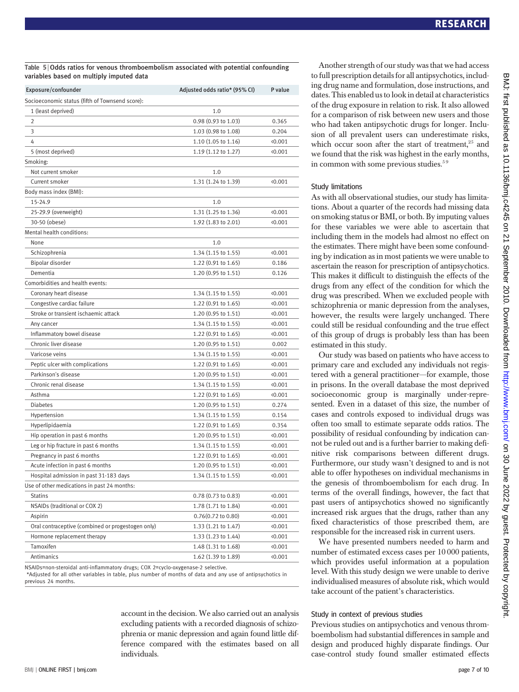| Exposure/confounder                               | Adjusted odds ratio* (95% CI) | P value |
|---------------------------------------------------|-------------------------------|---------|
| Socioeconomic status (fifth of Townsend score):   |                               |         |
| 1 (least deprived)                                | 1.0                           |         |
| $\overline{2}$                                    | 0.98 (0.93 to 1.03)           | 0.365   |
| 3                                                 | 1.03 (0.98 to 1.08)           | 0.204   |
| 4                                                 | 1.10(1.05 to 1.16)            | (0.001) |
| 5 (most deprived)                                 | 1.19 (1.12 to 1.27)           | 0.001   |
| Smoking:                                          |                               |         |
| Not current smoker                                | 1.0                           |         |
| Current smoker                                    | 1.31 (1.24 to 1.39)           | 0.001   |
| Body mass index (BMI):                            |                               |         |
| 15-24.9                                           | 1.0                           |         |
| 25-29.9 (overweight)                              | 1.31 (1.25 to 1.36)           | 0.001   |
| 30-50 (obese)                                     | 1.92 (1.83 to 2.01)           | 0.001   |
| Mental health conditions:                         |                               |         |
| None                                              | 1.0                           |         |
| Schizophrenia                                     | 1.34 (1.15 to 1.55)           | 0.001   |
| Bipolar disorder                                  | 1.22 (0.91 to 1.65)           | 0.186   |
| Dementia                                          | 1.20 (0.95 to 1.51)           | 0.126   |
| Comorbidities and health events:                  |                               |         |
| Coronary heart disease                            | 1.34 (1.15 to 1.55)           | 0.001   |
| Congestive cardiac failure                        | $1.22(0.91 \text{ to } 1.65)$ | 0.001   |
| Stroke or transient ischaemic attack              | 1.20 (0.95 to 1.51)           | (0.001) |
| Any cancer                                        | 1.34 (1.15 to 1.55)           | 0.001   |
| Inflammatory bowel disease                        | $1.22(0.91 \text{ to } 1.65)$ | 0.001   |
| Chronic liver disease                             | $1.20(0.95 \text{ to } 1.51)$ | 0.002   |
| Varicose veins                                    | 1.34 (1.15 to 1.55)           | 0.001   |
| Peptic ulcer with complications                   | $1.22(0.91 \text{ to } 1.65)$ | 0.001   |
| Parkinson's disease                               | $1.20(0.95 \text{ to } 1.51)$ | 0.001   |
| Chronic renal disease                             | 1.34 (1.15 to 1.55)           | 0.001   |
| Asthma                                            | $1.22(0.91 \text{ to } 1.65)$ | 0.001   |
| <b>Diabetes</b>                                   | $1.20(0.95 \text{ to } 1.51)$ | 0.274   |
| Hypertension                                      | 1.34 (1.15 to 1.55)           | 0.154   |
| Hyperlipidaemia                                   | $1.22(0.91 \text{ to } 1.65)$ | 0.354   |
| Hip operation in past 6 months                    | $1.20(0.95 \text{ to } 1.51)$ | 0.001   |
| Leg or hip fracture in past 6 months              | 1.34 (1.15 to 1.55)           | 0.001   |
| Pregnancy in past 6 months                        | 1.22 (0.91 to 1.65)           | 0.001   |
| Acute infection in past 6 months                  | $1.20(0.95 \text{ to } 1.51)$ | 0.001   |
| Hospital admission in past 31-183 days            | 1.34 (1.15 to 1.55)           | 0.001   |
| Use of other medications in past 24 months:       |                               |         |
| <b>Statins</b>                                    | 0.78 (0.73 to 0.83)           | 0.001   |
| NSAIDs (traditional or COX 2)                     | 1.78 (1.71 to 1.84)           | 0.001   |
| Aspirin                                           | $0.76(0.72 \text{ to } 0.80)$ | 0.001   |
| Oral contraceptive (combined or progestogen only) | 1.33 (1.21 to 1.47)           | 0.001   |
| Hormone replacement therapy                       | 1.33 (1.23 to 1.44)           | 0.001   |
| Tamoxifen                                         | 1.48 (1.31 to 1.68)           | 0.001   |
| Antimanics                                        | 1.62 (1.39 to 1.89)           | 0.001   |

NSAIDs=non-steroidal anti-inflammatory drugs; COX 2=cyclo-oxygenase-2 selective.

\*Adjusted for all other variables in table, plus number of months of data and any use of antipsychotics in previous 24 months.

> account in the decision. We also carried out an analysis excluding patients with a recorded diagnosis of schizophrenia or manic depression and again found little difference compared with the estimates based on all individuals.

Another strength of our study was that we had access to full prescription details for all antipsychotics, including drug name and formulation, dose instructions, and dates. This enabled us to look in detail at characteristics of the drug exposure in relation to risk. It also allowed for a comparison of risk between new users and those who had taken antipsychotic drugs for longer. Inclusion of all prevalent users can underestimate risks, which occur soon after the start of treatment, $25$  and we found that the risk was highest in the early months, in common with some previous studies.<sup>59</sup>

#### Study limitations

As with all observational studies, our study has limitations. About a quarter of the records had missing data on smoking status or BMI, or both. By imputing values for these variables we were able to ascertain that including them in the models had almost no effect on the estimates. There might have been some confounding by indication as in most patients we were unable to ascertain the reason for prescription of antipsychotics. This makes it difficult to distinguish the effects of the drugs from any effect of the condition for which the drug was prescribed. When we excluded people with schizophrenia or manic depression from the analyses, however, the results were largely unchanged. There could still be residual confounding and the true effect of this group of drugs is probably less than has been estimated in this study.

Our study was based on patients who have access to primary care and excluded any individuals not registered with a general practitioner—for example, those in prisons. In the overall database the most deprived socioeconomic group is marginally under-represented. Even in a dataset of this size, the number of cases and controls exposed to individual drugs was often too small to estimate separate odds ratios. The possibility of residual confounding by indication cannot be ruled out and is a further barrier to making definitive risk comparisons between different drugs. Furthermore, our study wasn't designed to and is not able to offer hypotheses on individual mechanisms in the genesis of thromboembolism for each drug. In terms of the overall findings, however, the fact that past users of antipsychotics showed no significantly increased risk argues that the drugs, rather than any fixed characteristics of those prescribed them, are responsible for the increased risk in current users.

We have presented numbers needed to harm and number of estimated excess cases per 10 000 patients, which provides useful information at a population level. With this study design we were unable to derive individualised measures of absolute risk, which would take account of the patient's characteristics.

#### Study in context of previous studies

Previous studies on antipsychotics and venous thromboembolism had substantial differences in sample and design and produced highly disparate findings. Our case-control study found smaller estimated effects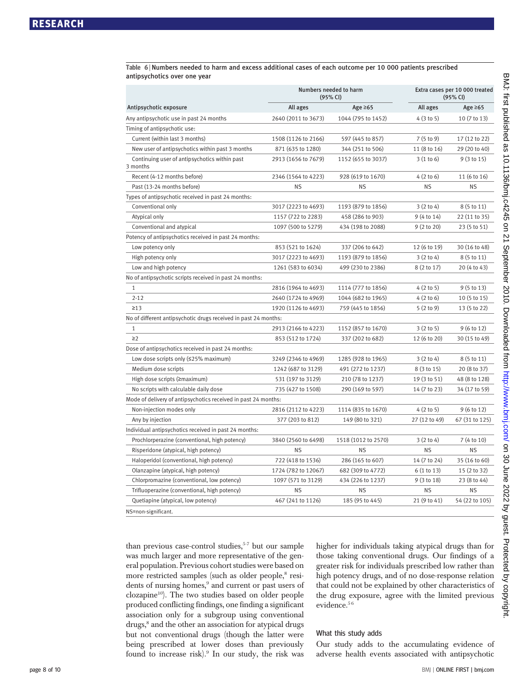Table 6 <sup>|</sup> Numbers needed to harm and excess additional cases of each outcome per 10 000 patients prescribed antipsychotics over one year

|                                                                 | Numbers needed to harm<br>(95% CI) |                     |               | Extra cases per 10 000 treated<br>(95% CI) |  |
|-----------------------------------------------------------------|------------------------------------|---------------------|---------------|--------------------------------------------|--|
| Antipsychotic exposure                                          | All ages                           | Age $\geq 65$       | All ages      | Age $\geq 65$                              |  |
| Any antipsychotic use in past 24 months                         | 2640 (2011 to 3673)                | 1044 (795 to 1452)  | 4(3 to 5)     | 10 (7 to 13)                               |  |
| Timing of antipsychotic use:                                    |                                    |                     |               |                                            |  |
| Current (within last 3 months)                                  | 1508 (1126 to 2166)                | 597 (445 to 857)    | 7 (5 to 9)    | 17 (12 to 22)                              |  |
| New user of antipsychotics within past 3 months                 | 871 (635 to 1280)                  | 344 (251 to 506)    | 11 (8 to 16)  | 29 (20 to 40)                              |  |
| Continuing user of antipsychotics within past<br>3 months       | 2913 (1656 to 7679)                | 1152 (655 to 3037)  | 3(1 to 6)     | 9 (3 to 15)                                |  |
| Recent (4-12 months before)                                     | 2346 (1564 to 4223)                | 928 (619 to 1670)   | 4(2 to 6)     | 11 (6 to 16)                               |  |
| Past (13-24 months before)                                      | <b>NS</b>                          | <b>NS</b>           | <b>NS</b>     | ΝS                                         |  |
| Types of antipsychotic received in past 24 months:              |                                    |                     |               |                                            |  |
| Conventional only                                               | 3017 (2223 to 4693)                | 1193 (879 to 1856)  | 3(2 to 4)     | 8 (5 to 11)                                |  |
| Atypical only                                                   | 1157 (722 to 2283)                 | 458 (286 to 903)    | 9 (4 to 14)   | 22 (11 to 35)                              |  |
| Conventional and atypical                                       | 1097 (500 to 5279)                 | 434 (198 to 2088)   | 9 (2 to 20)   | 23 (5 to 51)                               |  |
| Potency of antipsychotics received in past 24 months:           |                                    |                     |               |                                            |  |
| Low potency only                                                | 853 (521 to 1624)                  | 337 (206 to 642)    | 12 (6 to 19)  | 30 (16 to 48)                              |  |
| High potency only                                               | 3017 (2223 to 4693)                | 1193 (879 to 1856)  | 3(2 to 4)     | 8 (5 to 11)                                |  |
| Low and high potency                                            | 1261 (583 to 6034)                 | 499 (230 to 2386)   | 8 (2 to 17)   | 20 (4 to 43)                               |  |
| No of antipsychotic scripts received in past 24 months:         |                                    |                     |               |                                            |  |
| $\mathbf{1}$                                                    | 2816 (1964 to 4693)                | 1114 (777 to 1856)  | 4(2 to 5)     | 9 (5 to 13)                                |  |
| $2 - 12$                                                        | 2640 (1724 to 4969)                | 1044 (682 to 1965)  | 4(2 to 6)     | 10 (5 to 15)                               |  |
| $\geq$ 13                                                       | 1920 (1126 to 4693)                | 759 (445 to 1856)   | 5(2 to 9)     | 13 (5 to 22)                               |  |
| No of different antipsychotic drugs received in past 24 months: |                                    |                     |               |                                            |  |
| $1\,$                                                           | 2913 (2166 to 4223)                | 1152 (857 to 1670)  | 3(2 to 5)     | 9 (6 to 12)                                |  |
| $\geq$ 2                                                        | 853 (512 to 1724)                  | 337 (202 to 682)    | 12 (6 to 20)  | 30 (15 to 49)                              |  |
| Dose of antipsychotics received in past 24 months:              |                                    |                     |               |                                            |  |
| Low dose scripts only $(525\% \text{ maximum})$                 | 3249 (2346 to 4969)                | 1285 (928 to 1965)  | 3(2 to 4)     | 8 (5 to 11)                                |  |
| Medium dose scripts                                             | 1242 (687 to 3129)                 | 491 (272 to 1237)   | 8 (3 to 15)   | 20 (8 to 37)                               |  |
| High dose scripts (≥maximum)                                    | 531 (197 to 3129)                  | 210 (78 to 1237)    | 19 (3 to 51)  | 48 (8 to 128)                              |  |
| No scripts with calculable daily dose                           | 735 (427 to 1508)                  | 290 (169 to 597)    | 14 (7 to 23)  | 34 (17 to 59)                              |  |
| Mode of delivery of antipsychotics received in past 24 months:  |                                    |                     |               |                                            |  |
| Non-injection modes only                                        | 2816 (2112 to 4223)                | 1114 (835 to 1670)  | 4(2 to 5)     | 9 (6 to 12)                                |  |
| Any by injection                                                | 377 (203 to 812)                   | 149 (80 to 321)     | 27 (12 to 49) | 67 (31 to 125)                             |  |
| Individual antipsychotics received in past 24 months:           |                                    |                     |               |                                            |  |
| Prochlorperazine (conventional, high potency)                   | 3840 (2560 to 6498)                | 1518 (1012 to 2570) | 3(2 to 4)     | 7 (4 to 10)                                |  |
| Risperidone (atypical, high potency)                            | <b>NS</b>                          | <b>NS</b>           | <b>NS</b>     | <b>NS</b>                                  |  |
| Haloperidol (conventional, high potency)                        | 722 (418 to 1536)                  | 286 (165 to 607)    | 14 (7 to 24)  | 35 (16 to 60)                              |  |
| Olanzapine (atypical, high potency)                             | 1724 (782 to 12067)                | 682 (309 to 4772)   | 6 (1 to 13)   | 15 (2 to 32)                               |  |
| Chlorpromazine (conventional, low potency)                      | 1097 (571 to 3129)                 | 434 (226 to 1237)   | 9 (3 to 18)   | 23 (8 to 44)                               |  |
| Trifluoperazine (conventional, high potency)                    | <b>NS</b>                          | <b>NS</b>           | <b>NS</b>     | <b>NS</b>                                  |  |
| Quetiapine (atypical, low potency)                              | 467 (241 to 1126)                  | 185 (95 to 445)     | 21 (9 to 41)  | 54 (22 to 105)                             |  |
| NS=non-significant.                                             |                                    |                     |               |                                            |  |

than previous case-control studies, $5-7$  but our sample was much larger and more representative of the general population. Previous cohort studies were based on more restricted samples (such as older people,<sup>8</sup> residents of nursing homes,<sup>9</sup> and current or past users of clozapine<sup>10</sup>). The two studies based on older people produced conflicting findings, one finding a significant association only for a subgroup using conventional drugs,<sup>8</sup> and the other an association for atypical drugs but not conventional drugs (though the latter were being prescribed at lower doses than previously found to increase risk).<sup>9</sup> In our study, the risk was higher for individuals taking atypical drugs than for those taking conventional drugs. Our findings of a greater risk for individuals prescribed low rather than high potency drugs, and of no dose-response relation that could not be explained by other characteristics of the drug exposure, agree with the limited previous evidence.<sup>56</sup>

#### What this study adds

Our study adds to the accumulating evidence of adverse health events associated with antipsychotic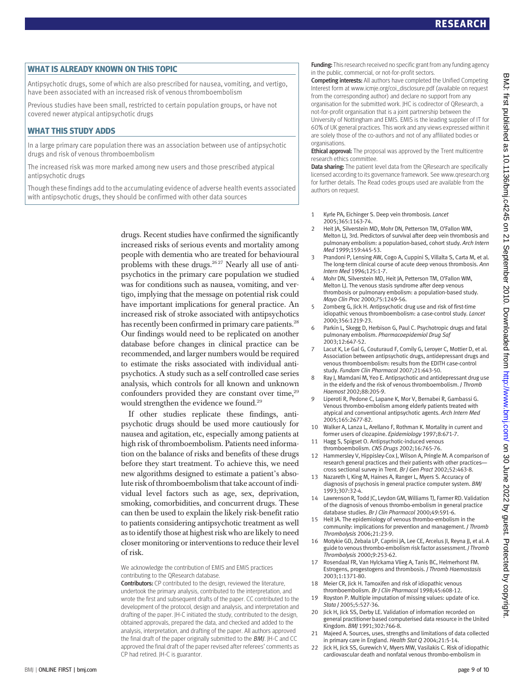#### WHAT IS ALREADY KNOWN ON THIS TOPIC

Antipsychotic drugs, some of which are also prescribed for nausea, vomiting, and vertigo, have been associated with an increased risk of venous thromboembolism

Previous studies have been small, restricted to certain population groups, or have not covered newer atypical antipsychotic drugs

#### WHAT THIS STUDY ADDS

In a large primary care population there was an association between use of antipsychotic drugs and risk of venous thromboembolism

The increased risk was more marked among new users and those prescribed atypical antipsychotic drugs

Though these findings add to the accumulating evidence of adverse health events associated with antipsychotic drugs, they should be confirmed with other data sources

> drugs. Recent studies have confirmed the significantly increased risks of serious events and mortality among people with dementia who are treated for behavioural problems with these drugs.<sup>2627</sup> Nearly all use of antipsychotics in the primary care population we studied was for conditions such as nausea, vomiting, and vertigo, implying that the message on potential risk could have important implications for general practice. An increased risk of stroke associated with antipsychotics has recently been confirmed in primary care patients.<sup>28</sup> Our findings would need to be replicated on another database before changes in clinical practice can be recommended, and larger numbers would be required to estimate the risks associated with individual antipsychotics. A study such as a self controlled case series analysis, which controls for all known and unknown confounders provided they are constant over time, $29$ would strengthen the evidence we found.<sup>29</sup>

> If other studies replicate these findings, antipsychotic drugs should be used more cautiously for nausea and agitation, etc, especially among patients at high risk of thromboembolism. Patients need information on the balance of risks and benefits of these drugs before they start treatment. To achieve this, we need new algorithms designed to estimate a patient's absolute risk of thromboembolism that take account of individual level factors such as age, sex, deprivation, smoking, comorbidities, and concurrent drugs. These can then be used to explain the likely risk-benefit ratio to patients considering antipsychotic treatment as well as to identify those at highest risk who are likely to need closer monitoring or interventions to reduce their level of risk.

We acknowledge the contribution of EMIS and EMIS practices contributing to the QResearch database.

Contributors: CP contributed to the design, reviewed the literature, undertook the primary analysis, contributed to the interpretation, and wrote the first and subsequent drafts of the paper. CC contributed to the development of the protocol, design and analysis, and interpretation and drafting of the paper. JH-C initiated the study, contributed to the design, obtained approvals, prepared the data, and checked and added to the analysis, interpretation, and drafting of the paper. All authors approved the final draft of the paper originally submitted to the BMJ. JH-C and CC approved the final draft of the paper revised after referees' comments as CP had retired. JH-C is guarantor.

**Funding:** This research received no specific grant from any funding agency in the public, commercial, or not-for-profit sectors.

Competing interests: All authors have completed the Unified Competing Interest form at www.icmje.org/coi\_disclosure.pdf (available on request from the corresponding author) and declare no support from any organisation for the submitted work. JHC is codirector of QResearch, a not-for-profit organisation that is a joint partnership between the University of Nottingham and EMIS. EMIS is the leading supplier of IT for 60% of UK general practices. This work and any views expressed within it are solely those of the co-authors and not of any affiliated bodies or organisations.

Ethical approval: The proposal was approved by the Trent multicentre research ethics committee.

Data sharing: The patient level data from the QResearch are specifically licensed according to its governance framework. See www.qresearch.org for further details. The Read codes groups used are available from the authors on request.

- 1 Kyrle PA, Eichinger S. Deep vein thrombosis. Lancet 2005;365:1163-74.
- 2 Heit JA, Silverstein MD, Mohr DN, Petterson TM, O'Fallon WM, Melton LJ, 3rd. Predictors of survival after deep vein thrombosis and pulmonary embolism: a population-based, cohort study. Arch Intern Med 1999;159:445-53.
- 3 Prandoni P, Lensing AW, Cogo A, Cuppini S, Villalta S, Carta M, et al. The long-term clinical course of acute deep venous thrombosis. Ann Intern Med 1996;125:1-7.
- 4 Mohr DN, Silverstein MD, Heit JA, Petterson TM, O'Fallon WM, Melton LJ. The venous stasis syndrome after deep venous thrombosis or pulmonary embolism: a population-based study. Mayo Clin Proc 2000;75:1249-56.
- 5 Zornberg G, Jick H. Antipsychotic drug use and risk of first-time idiopathic venous thromboembolism: a case-control study. Lancet 2000;356:1219-23.
- 6 Parkin L, Skegg D, Herbison G, Paul C. Psychotropic drugs and fatal pulmonary embolism. Pharmacoepidemiol Drug Saf 2003;12:647-52.
- Lacut K, Le Gal G, Couturaud F, Cornily G, Leroyer C, Mottier D, et al. Association between antipsychotic drugs, antidepressant drugs and venous thromboembolism: results from the EDITH case-control study. Fundam Clin Pharmacol 2007;21:643-50.
- Ray J, Mamdani M, Yeo E. Antipsychotic and antidepressant drug use in the elderly and the risk of venous thromboembolism. J Thromb Haemost 2002;88:205-9.
- Liperoti R, Pedone C, Lapane K, Mor V, Bernabei R, Gambassi G. Venous thrombo-embolism among elderly patients treated with atypical and conventional antipsychotic agents. Arch Intern Med 2005;165:2677-82.
- 10 Walker A, Lanza L, Arellano F, Rothman K. Mortality in current and former users of clozapine. Epidemiology 1997;8:671-7.
- 11 Hagg S, Spigset O. Antipsychotic-induced venous thromboembolism. CNS Drugs 2002;16:765-76.
- 12 Hammersley V, Hippisley-Cox J, Wilson A, Pringle M. A comparison of research general practices and their patients with other practices cross sectional survey in Trent. Br J Gen Pract 2002;52:463-8.
- 13 Nazareth I, King M, Haines A, Ranger L, Myers S. Accuracy of diagnosis of psychosis in general practice computer system. BMJ 1993;307:32-4.
- 14 Lawrenson R, Todd JC, Leydon GM, Williams TJ, Farmer RD. Validation of the diagnosis of venous thrombo-embolism in general practice database studies. Br J Clin Pharmacol 2000;49:591-6.
- 15 Heit JA. The epidemiology of venous thrombo-embolism in the community: implications for prevention and management. J Thromb Thrombolysis 2006;21:23-9.
- 16 Motykie GD, Zebala LP, Caprini JA, Lee CE, Arcelus JI, Reyna JJ, et al. A guide to venous thrombo-embolism risk factor assessment. J Thromb Thrombolysis 2000;9:253-62.
- 17 Rosendaal FR, Van Hylckama Vlieg A, Tanis BC, Helmerhorst FM. Estrogens, progestogens and thrombosis. J Thromb Haemostasis 2003;1:1371-80.
- 18 Meier CR, Jick H. Tamoxifen and risk of idiopathic venous thromboembolism. Br J Clin Pharmacol 1998;45:608-12.
- 19 Royston P. Multiple imputation of missing values: update of ice. Stata J 2005;5:527-36.
- 20 Jick H, Jick SS, Derby LE. Validation of information recorded on general practitioner based computerised data resource in the United Kingdom. BMJ 1991;302:766-8.
- 21 Majeed A. Sources, uses, strengths and limitations of data collected in primary care in England. Health Stat Q 2004;21:5-14.
- 22 Jick H, Jick SS, Gurewich V, Myers MW, Vasilakis C. Risk of idiopathic cardiovascular death and nonfatal venous thrombo-embolism in